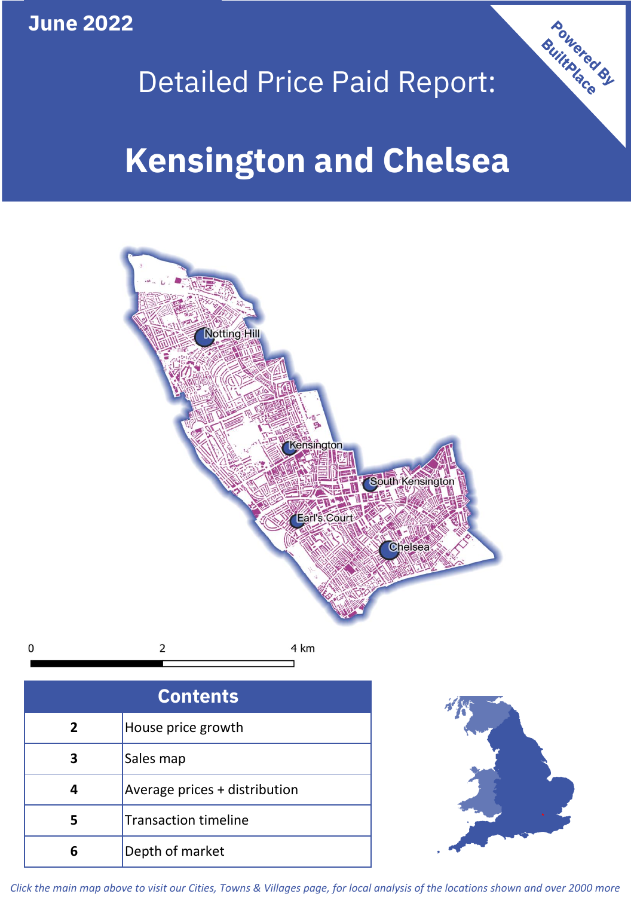**June 2022**

## Detailed Price Paid Report:

# **Kensington and Chelsea**



| <b>Contents</b> |                               |  |  |
|-----------------|-------------------------------|--|--|
| $\overline{2}$  | House price growth            |  |  |
| 3               | Sales map                     |  |  |
|                 | Average prices + distribution |  |  |
|                 | <b>Transaction timeline</b>   |  |  |
|                 | Depth of market               |  |  |



**Powered By** 

*Click the main map above to visit our Cities, Towns & Villages page, for local analysis of the locations shown and over 2000 more*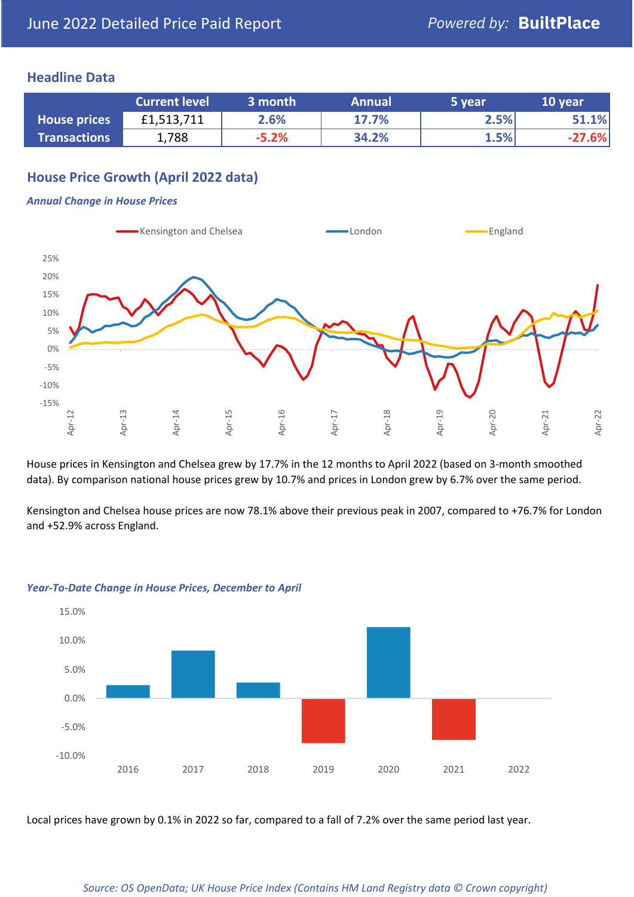### **Headline Data**

|                     | <b>Current level</b> | 3 month | <b>Annual</b> | 5 year | 10 year  |
|---------------------|----------------------|---------|---------------|--------|----------|
| <b>House prices</b> | £1,513,711           | 2.6%    | 17.7%         | 2.5%   | 51.1%    |
| <b>Transactions</b> | 788.                 | $-5.2%$ | 34.2%         | 1.5%   | $-27.6%$ |

## **House Price Growth (April 2022 data)**

#### *Annual Change in House Prices*



House prices in Kensington and Chelsea grew by 17.7% in the 12 months to April 2022 (based on 3-month smoothed data). By comparison national house prices grew by 10.7% and prices in London grew by 6.7% over the same period.

Kensington and Chelsea house prices are now 78.1% above their previous peak in 2007, compared to +76.7% for London and +52.9% across England.



#### *Year-To-Date Change in House Prices, December to April*

Local prices have grown by 0.1% in 2022 so far, compared to a fall of 7.2% over the same period last year.

#### *Source: OS OpenData; UK House Price Index (Contains HM Land Registry data © Crown copyright)*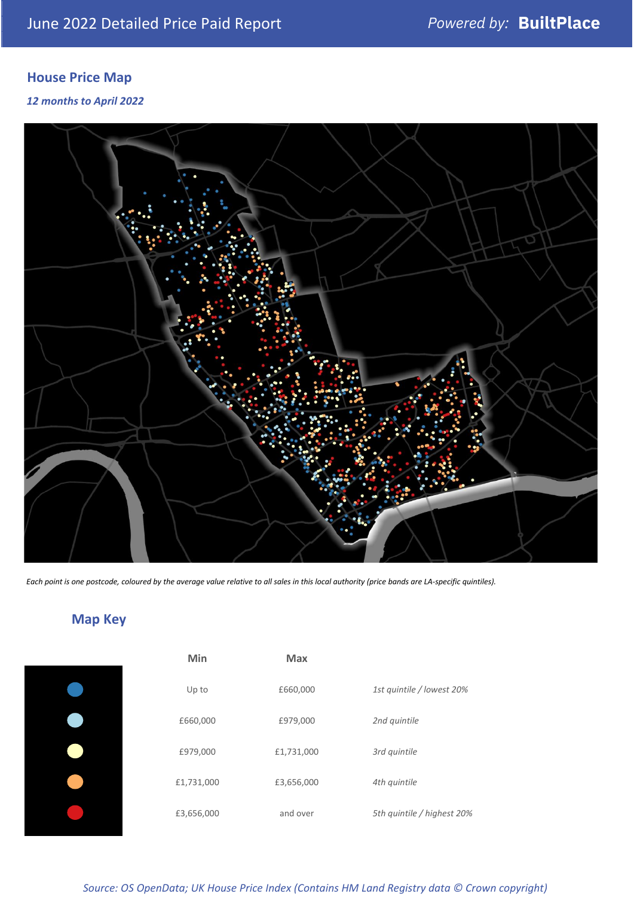## **House Price Map**

*12 months to April 2022*



*Each point is one postcode, coloured by the average value relative to all sales in this local authority (price bands are LA-specific quintiles).*

## **Map Key**

| Min        | <b>Max</b> |                            |
|------------|------------|----------------------------|
| Up to      | £660,000   | 1st quintile / lowest 20%  |
| £660,000   | £979,000   | 2nd quintile               |
| £979,000   | £1,731,000 | 3rd quintile               |
| £1,731,000 | £3,656,000 | 4th quintile               |
| £3,656,000 | and over   | 5th quintile / highest 20% |
|            |            |                            |

*Source: OS OpenData; UK House Price Index (Contains HM Land Registry data © Crown copyright)*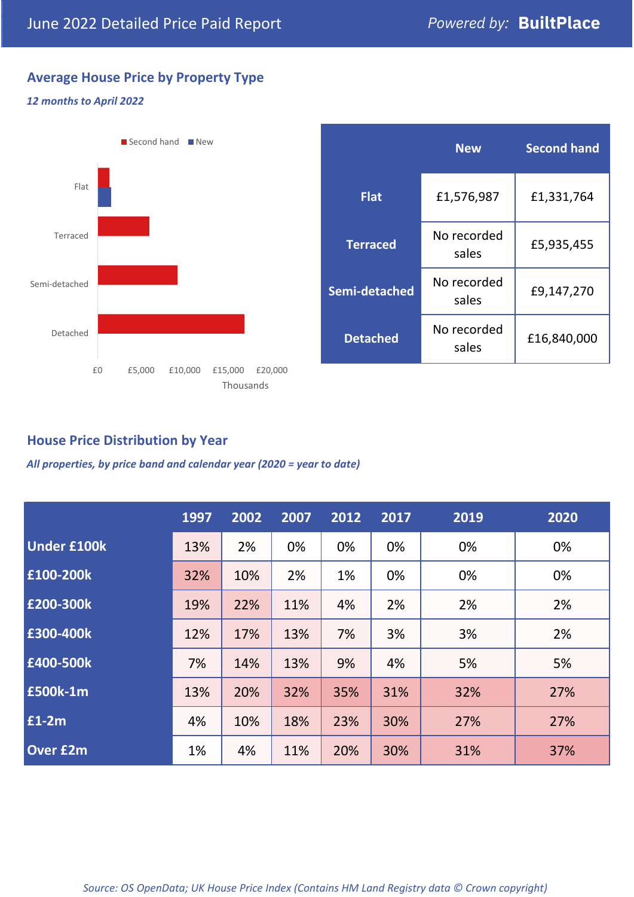## **Average House Price by Property Type**

#### *12 months to April 2022*



|                 | <b>New</b>           | <b>Second hand</b> |  |  |
|-----------------|----------------------|--------------------|--|--|
| <b>Flat</b>     | £1,576,987           | £1,331,764         |  |  |
| <b>Terraced</b> | No recorded<br>sales | £5,935,455         |  |  |
| Semi-detached   | No recorded<br>sales | £9,147,270         |  |  |
| <b>Detached</b> | No recorded<br>sales | £16,840,000        |  |  |

## **House Price Distribution by Year**

*All properties, by price band and calendar year (2020 = year to date)*

|                    | 1997 | 2002 | 2007 | 2012 | 2017 | 2019 | 2020 |
|--------------------|------|------|------|------|------|------|------|
| <b>Under £100k</b> | 13%  | 2%   | 0%   | 0%   | 0%   | 0%   | 0%   |
| £100-200k          | 32%  | 10%  | 2%   | 1%   | 0%   | 0%   | 0%   |
| £200-300k          | 19%  | 22%  | 11%  | 4%   | 2%   | 2%   | 2%   |
| E300-400k          | 12%  | 17%  | 13%  | 7%   | 3%   | 3%   | 2%   |
| £400-500k          | 7%   | 14%  | 13%  | 9%   | 4%   | 5%   | 5%   |
| £500k-1m           | 13%  | 20%  | 32%  | 35%  | 31%  | 32%  | 27%  |
| $f1-2m$            | 4%   | 10%  | 18%  | 23%  | 30%  | 27%  | 27%  |
| <b>Over £2m</b>    | 1%   | 4%   | 11%  | 20%  | 30%  | 31%  | 37%  |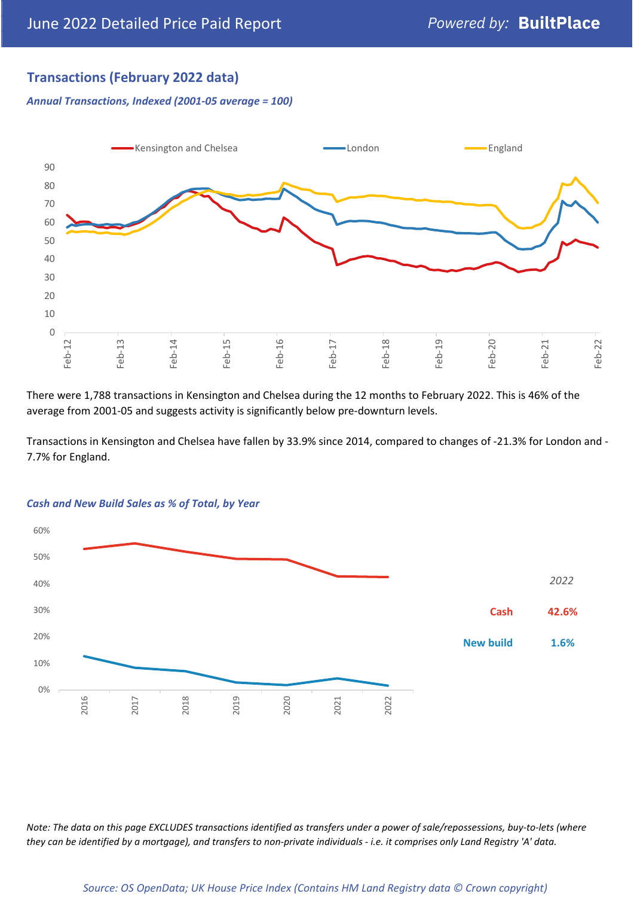## **Transactions (February 2022 data)**

*Annual Transactions, Indexed (2001-05 average = 100)*



There were 1,788 transactions in Kensington and Chelsea during the 12 months to February 2022. This is 46% of the average from 2001-05 and suggests activity is significantly below pre-downturn levels.

Transactions in Kensington and Chelsea have fallen by 33.9% since 2014, compared to changes of -21.3% for London and - 7.7% for England.



#### *Cash and New Build Sales as % of Total, by Year*

*Note: The data on this page EXCLUDES transactions identified as transfers under a power of sale/repossessions, buy-to-lets (where they can be identified by a mortgage), and transfers to non-private individuals - i.e. it comprises only Land Registry 'A' data.*